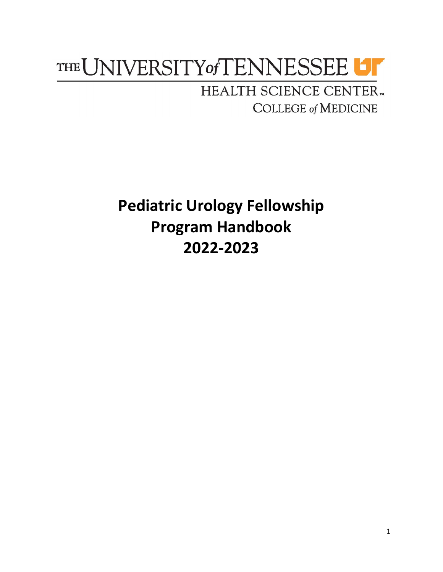# THE UNIVERSITY of TENNESSEE UT

HEALTH SCIENCE CENTER. **COLLEGE of MEDICINE** 

**Pediatric Urology Fellowship Program Handbook 2022-2023**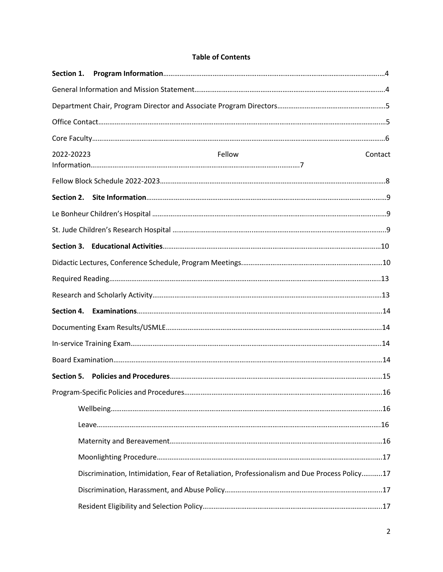#### **Table of Contents**

| Section 1. |                                                                                             |         |
|------------|---------------------------------------------------------------------------------------------|---------|
|            |                                                                                             |         |
|            |                                                                                             |         |
|            |                                                                                             |         |
|            |                                                                                             |         |
| 2022-20223 | Fellow                                                                                      | Contact |
|            |                                                                                             |         |
|            |                                                                                             |         |
|            |                                                                                             |         |
|            |                                                                                             |         |
|            |                                                                                             |         |
|            |                                                                                             |         |
|            |                                                                                             |         |
|            |                                                                                             |         |
| Section 4. |                                                                                             |         |
|            |                                                                                             |         |
|            |                                                                                             |         |
|            |                                                                                             |         |
|            |                                                                                             |         |
|            |                                                                                             |         |
|            |                                                                                             |         |
|            |                                                                                             |         |
|            |                                                                                             |         |
|            |                                                                                             |         |
|            | Discrimination, Intimidation, Fear of Retaliation, Professionalism and Due Process Policy17 |         |
|            |                                                                                             |         |
|            |                                                                                             |         |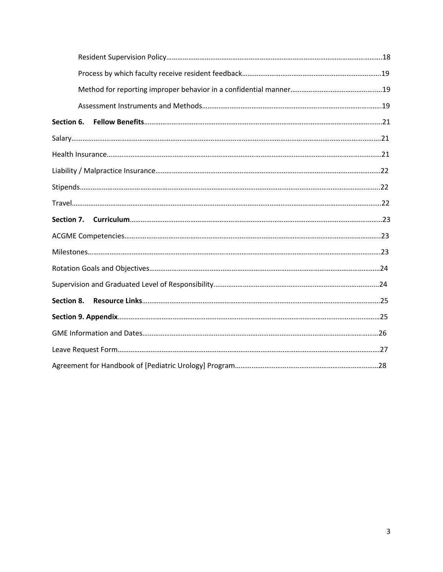| Section 8. |  |
|------------|--|
|            |  |
|            |  |
|            |  |
|            |  |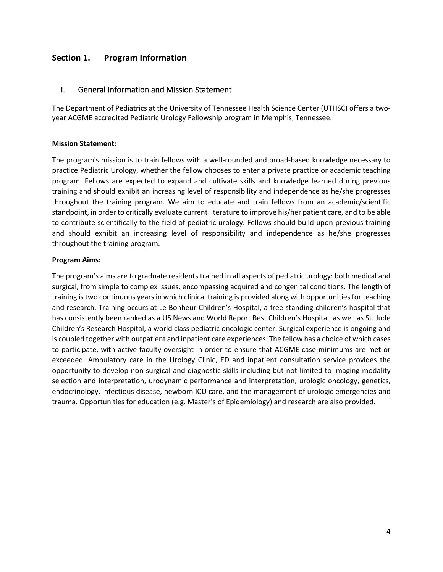#### **Section 1. Program Information**

#### I. General Information and Mission Statement

The Department of Pediatrics at the University of Tennessee Health Science Center (UTHSC) offers a twoyear ACGME accredited Pediatric Urology Fellowship program in Memphis, Tennessee.

#### **Mission Statement:**

The program's mission is to train fellows with a well-rounded and broad-based knowledge necessary to practice Pediatric Urology, whether the fellow chooses to enter a private practice or academic teaching program. Fellows are expected to expand and cultivate skills and knowledge learned during previous training and should exhibit an increasing level of responsibility and independence as he/she progresses throughout the training program. We aim to educate and train fellows from an academic/scientific standpoint, in order to critically evaluate current literature to improve his/her patient care, and to be able to contribute scientifically to the field of pediatric urology. Fellows should build upon previous training and should exhibit an increasing level of responsibility and independence as he/she progresses throughout the training program.

#### **Program Aims:**

The program's aims are to graduate residents trained in all aspects of pediatric urology: both medical and surgical, from simple to complex issues, encompassing acquired and congenital conditions. The length of training is two continuous years in which clinical training is provided along with opportunities for teaching and research. Training occurs at Le Bonheur Children's Hospital, a free-standing children's hospital that has consistently been ranked as a US News and World Report Best Children's Hospital, as well as St. Jude Children's Research Hospital, a world class pediatric oncologic center. Surgical experience is ongoing and is coupled together with outpatient and inpatient care experiences. The fellow has a choice of which cases to participate, with active faculty oversight in order to ensure that ACGME case minimums are met or exceeded. Ambulatory care in the Urology Clinic, ED and inpatient consultation service provides the opportunity to develop non-surgical and diagnostic skills including but not limited to imaging modality selection and interpretation, urodynamic performance and interpretation, urologic oncology, genetics, endocrinology, infectious disease, newborn ICU care, and the management of urologic emergencies and trauma. Opportunities for education (e.g. Master's of Epidemiology) and research are also provided.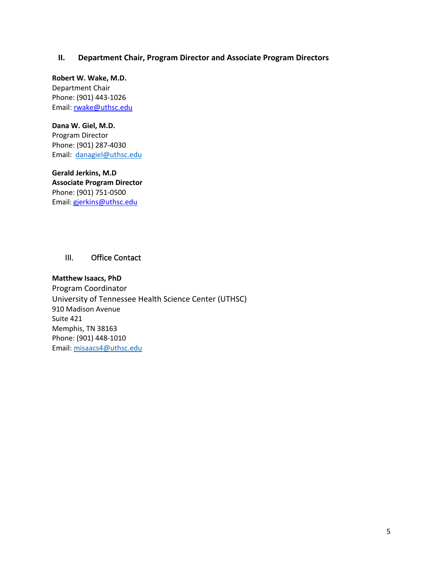#### **II. Department Chair, Program Director and Associate Program Directors**

**Robert W. Wake, M.D.** Department Chair Phone: (901) 443-1026 Email: rwake@uthsc.edu

#### **Dana W. Giel, M.D.**

Program Director Phone: (901) 287-4030 Email: danagiel@uthsc.edu

**Gerald Jerkins, M.D Associate Program Director** Phone: (901) 751-0500 Email: gjerkins@uthsc.edu

#### III. Office Contact

**Matthew Isaacs, PhD** Program Coordinator University of Tennessee Health Science Center (UTHSC) 910 Madison Avenue Suite 421 Memphis, TN 38163 Phone: (901) 448-1010 Email: misaacs4@uthsc.edu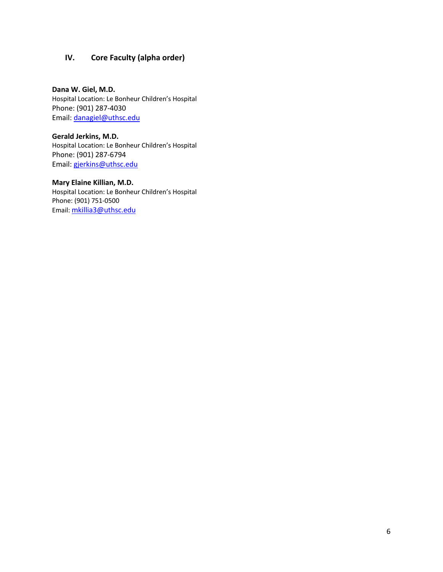#### **IV. Core Faculty (alpha order)**

**Dana W. Giel, M.D.** Hospital Location: Le Bonheur Children's Hospital Phone: (901) 287-4030 Email: danagiel@uthsc.edu

**Gerald Jerkins, M.D.** Hospital Location: Le Bonheur Children's Hospital Phone: (901) 287-6794 Email: gjerkins@uthsc.edu

#### **Mary Elaine Killian, M.D.**

Hospital Location: Le Bonheur Children's Hospital Phone: (901) 751-0500 Email: mkillia3@uthsc.edu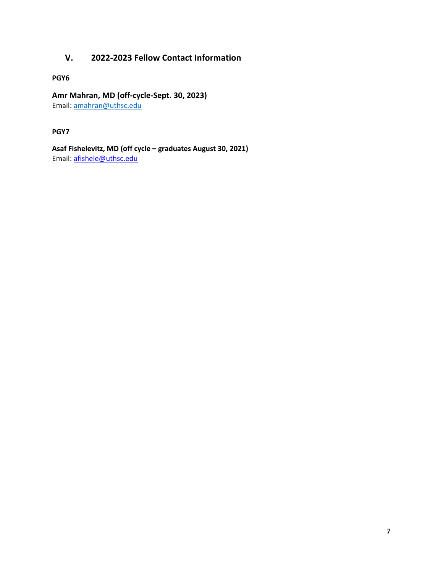## **V. 2022-2023 Fellow Contact Information**

**PGY6**

#### **Amr Mahran, MD (off-cycle-Sept. 30, 2023)**

Email: amahran@uthsc.edu

#### **PGY7**

**Asaf Fishelevitz, MD (off cycle – graduates August 30, 2021)** Email: afishele@uthsc.edu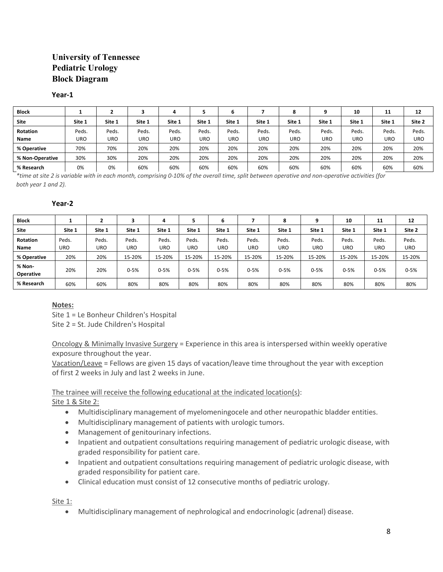#### **University of Tennessee Pediatric Urology Block Diagram**

#### **Year-1**

| <b>Block</b>    |        |        |        | д          |        |        |            | 8      | ۹          | 10     | 11     | 12     |
|-----------------|--------|--------|--------|------------|--------|--------|------------|--------|------------|--------|--------|--------|
| <b>Site</b>     | Site 1 | Site 1 | Site 1 | Site 1     | Site 1 | Site 1 | Site 1     | Site 1 | Site 1     | Site 1 | Site 1 | Site 2 |
| <b>Rotation</b> | Peds.  | Peds.  | Peds.  | Peds.      | Peds.  | Peds.  | Peds.      | Peds.  | Peds.      | Peds.  | Peds.  | Peds.  |
| Name            | URO    | URO    | URO    | <b>URO</b> | URO    | URO    | <b>URO</b> | URO    | <b>URO</b> | URO    | URO    | URO    |
| % Operative     | 70%    | 70%    | 20%    | 20%        | 20%    | 20%    | 20%        | 20%    | 20%        | 20%    | 20%    | 20%    |
| % Non-Operative | 30%    | 30%    | 20%    | 20%        | 20%    | 20%    | 20%        | 20%    | 20%        | 20%    | 20%    | 20%    |
| % Research      | 0%     | 0%     | 60%    | 60%        | 60%    | 60%    | 60%        | 60%    | 60%        | 60%    | 60%    | 60%    |

*\*time at site 2 is variable with in each month, comprising 0-10% of the overall time, split between operative and non-operative activities (for both year 1 and 2).*

#### **Year-2**

| <b>Block</b>               |        |        | 3      | 4        | ь        | ь        |            | $\bullet$<br>۰ | q          | 10       | 11         | 12       |
|----------------------------|--------|--------|--------|----------|----------|----------|------------|----------------|------------|----------|------------|----------|
| <b>Site</b>                | Site 1 | Site 1 | Site 1 | Site 1   | Site 1   | Site 1   | Site 1     | Site 1         | Site 1     | Site 1   | Site 1     | Site 2   |
| <b>Rotation</b>            | Peds.  | Peds.  | Peds.  | Peds.    | Peds.    | Peds.    | Peds.      | Peds.          | Peds.      | Peds.    | Peds.      | Peds.    |
| Name                       | URO    | URO    | URO    | URO      | URO      | URO      | <b>URO</b> | <b>URO</b>     | <b>URO</b> | URO      | <b>URO</b> | URO      |
| % Operative                | 20%    | 20%    | 15-20% | 15-20%   | 15-20%   | 15-20%   | 15-20%     | 15-20%         | 15-20%     | 15-20%   | 15-20%     | 15-20%   |
| % Non-<br><b>Operative</b> | 20%    | 20%    | 0-5%   | $0 - 5%$ | $0 - 5%$ | $0 - 5%$ | $0 - 5%$   | $0 - 5%$       | $0 - 5%$   | $0 - 5%$ | $0 - 5%$   | $0 - 5%$ |
| % Research                 | 60%    | 60%    | 80%    | 80%      | 80%      | 80%      | 80%        | 80%            | 80%        | 80%      | 80%        | 80%      |

#### **Notes:**

Site 1 = Le Bonheur Children's Hospital Site 2 = St. Jude Children's Hospital

Oncology & Minimally Invasive Surgery = Experience in this area is interspersed within weekly operative exposure throughout the year.

Vacation/Leave = Fellows are given 15 days of vacation/leave time throughout the year with exception of first 2 weeks in July and last 2 weeks in June.

The trainee will receive the following educational at the indicated location(s):

Site 1 & Site 2:

- Multidisciplinary management of myelomeningocele and other neuropathic bladder entities.
- Multidisciplinary management of patients with urologic tumors.
- Management of genitourinary infections.
- Inpatient and outpatient consultations requiring management of pediatric urologic disease, with graded responsibility for patient care.
- Inpatient and outpatient consultations requiring management of pediatric urologic disease, with graded responsibility for patient care.
- Clinical education must consist of 12 consecutive months of pediatric urology.

Site 1:

• Multidisciplinary management of nephrological and endocrinologic (adrenal) disease.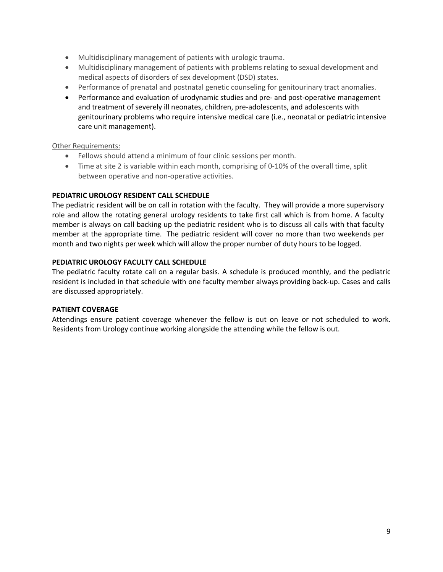- Multidisciplinary management of patients with urologic trauma.
- Multidisciplinary management of patients with problems relating to sexual development and medical aspects of disorders of sex development (DSD) states.
- Performance of prenatal and postnatal genetic counseling for genitourinary tract anomalies.
- Performance and evaluation of urodynamic studies and pre- and post-operative management and treatment of severely ill neonates, children, pre-adolescents, and adolescents with genitourinary problems who require intensive medical care (i.e., neonatal or pediatric intensive care unit management).

#### Other Requirements:

- Fellows should attend a minimum of four clinic sessions per month.
- Time at site 2 is variable within each month, comprising of 0-10% of the overall time, split between operative and non-operative activities.

#### **PEDIATRIC UROLOGY RESIDENT CALL SCHEDULE**

The pediatric resident will be on call in rotation with the faculty. They will provide a more supervisory role and allow the rotating general urology residents to take first call which is from home. A faculty member is always on call backing up the pediatric resident who is to discuss all calls with that faculty member at the appropriate time. The pediatric resident will cover no more than two weekends per month and two nights per week which will allow the proper number of duty hours to be logged.

#### **PEDIATRIC UROLOGY FACULTY CALL SCHEDULE**

The pediatric faculty rotate call on a regular basis. A schedule is produced monthly, and the pediatric resident is included in that schedule with one faculty member always providing back-up. Cases and calls are discussed appropriately.

#### **PATIENT COVERAGE**

Attendings ensure patient coverage whenever the fellow is out on leave or not scheduled to work. Residents from Urology continue working alongside the attending while the fellow is out.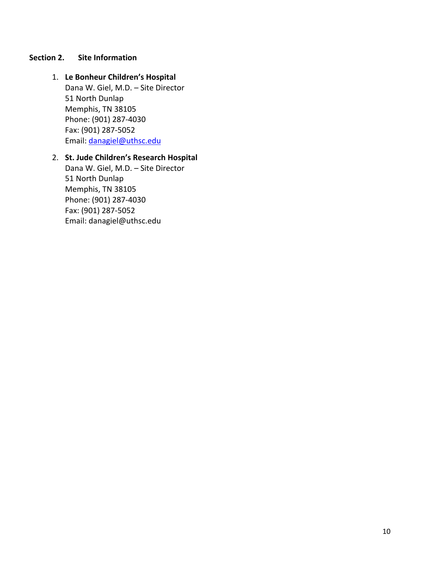#### **Section 2. Site Information**

- 1. **Le Bonheur Children's Hospital** Dana W. Giel, M.D. – Site Director 51 North Dunlap Memphis, TN 38105 Phone: (901) 287-4030 Fax: (901) 287-5052 Email: danagiel@uthsc.edu
- 2. **St. Jude Children's Research Hospital**

Dana W. Giel, M.D. – Site Director 51 North Dunlap Memphis, TN 38105 Phone: (901) 287-4030 Fax: (901) 287-5052 Email: danagiel@uthsc.edu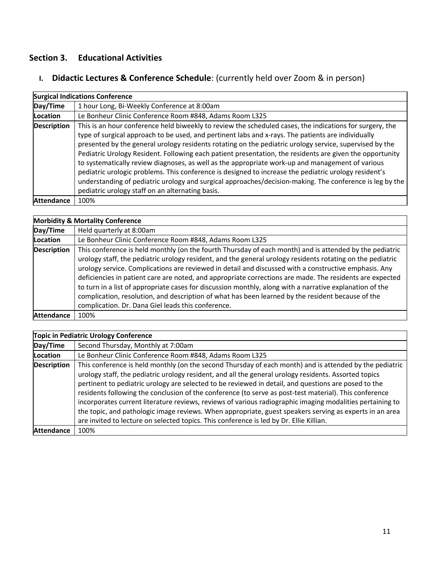# **Section 3. Educational Activities**

# **I. Didactic Lectures & Conference Schedule**: (currently held over Zoom & in person)

|                    | <b>Surgical Indications Conference</b>                                                                                                                                                                                                                                                                                                                                                                                                                                                                                                                                                                                                                                                                                                                                                                             |  |  |  |  |  |
|--------------------|--------------------------------------------------------------------------------------------------------------------------------------------------------------------------------------------------------------------------------------------------------------------------------------------------------------------------------------------------------------------------------------------------------------------------------------------------------------------------------------------------------------------------------------------------------------------------------------------------------------------------------------------------------------------------------------------------------------------------------------------------------------------------------------------------------------------|--|--|--|--|--|
| Day/Time           | 1 hour Long, Bi-Weekly Conference at 8:00am                                                                                                                                                                                                                                                                                                                                                                                                                                                                                                                                                                                                                                                                                                                                                                        |  |  |  |  |  |
| <b>Location</b>    | Le Bonheur Clinic Conference Room #848, Adams Room L325                                                                                                                                                                                                                                                                                                                                                                                                                                                                                                                                                                                                                                                                                                                                                            |  |  |  |  |  |
| <b>Description</b> | This is an hour conference held biweekly to review the scheduled cases, the indications for surgery, the<br>type of surgical approach to be used, and pertinent labs and x-rays. The patients are individually<br>presented by the general urology residents rotating on the pediatric urology service, supervised by the<br>Pediatric Urology Resident. Following each patient presentation, the residents are given the opportunity<br>to systematically review diagnoses, as well as the appropriate work-up and management of various<br>pediatric urologic problems. This conference is designed to increase the pediatric urology resident's<br>understanding of pediatric urology and surgical approaches/decision-making. The conference is leg by the<br>pediatric urology staff on an alternating basis. |  |  |  |  |  |
| <b>Attendance</b>  | 100%                                                                                                                                                                                                                                                                                                                                                                                                                                                                                                                                                                                                                                                                                                                                                                                                               |  |  |  |  |  |

|                    | <b>Morbidity &amp; Mortality Conference</b>                                                                                                                                                                                                                                                                                                                                                                                                                                                                                                                                                                                                                                                                       |  |  |  |  |
|--------------------|-------------------------------------------------------------------------------------------------------------------------------------------------------------------------------------------------------------------------------------------------------------------------------------------------------------------------------------------------------------------------------------------------------------------------------------------------------------------------------------------------------------------------------------------------------------------------------------------------------------------------------------------------------------------------------------------------------------------|--|--|--|--|
| Day/Time           | Held quarterly at 8:00am                                                                                                                                                                                                                                                                                                                                                                                                                                                                                                                                                                                                                                                                                          |  |  |  |  |
| <b>Location</b>    | Le Bonheur Clinic Conference Room #848, Adams Room L325                                                                                                                                                                                                                                                                                                                                                                                                                                                                                                                                                                                                                                                           |  |  |  |  |
| <b>Description</b> | This conference is held monthly (on the fourth Thursday of each month) and is attended by the pediatric<br>urology staff, the pediatric urology resident, and the general urology residents rotating on the pediatric<br>urology service. Complications are reviewed in detail and discussed with a constructive emphasis. Any<br>deficiencies in patient care are noted, and appropriate corrections are made. The residents are expected<br>to turn in a list of appropriate cases for discussion monthly, along with a narrative explanation of the<br>complication, resolution, and description of what has been learned by the resident because of the<br>complication. Dr. Dana Giel leads this conference. |  |  |  |  |
| <b>Attendance</b>  | 100%                                                                                                                                                                                                                                                                                                                                                                                                                                                                                                                                                                                                                                                                                                              |  |  |  |  |

|                    | <b>Topic in Pediatric Urology Conference</b>                                                                                                                                                                                                                                                                                                                                                                                                                                                                                                                                                                                                                                                                                                          |
|--------------------|-------------------------------------------------------------------------------------------------------------------------------------------------------------------------------------------------------------------------------------------------------------------------------------------------------------------------------------------------------------------------------------------------------------------------------------------------------------------------------------------------------------------------------------------------------------------------------------------------------------------------------------------------------------------------------------------------------------------------------------------------------|
| Day/Time           | Second Thursday, Monthly at 7:00am                                                                                                                                                                                                                                                                                                                                                                                                                                                                                                                                                                                                                                                                                                                    |
| Location           | Le Bonheur Clinic Conference Room #848, Adams Room L325                                                                                                                                                                                                                                                                                                                                                                                                                                                                                                                                                                                                                                                                                               |
| <b>Description</b> | This conference is held monthly (on the second Thursday of each month) and is attended by the pediatric<br>urology staff, the pediatric urology resident, and all the general urology residents. Assorted topics<br>pertinent to pediatric urology are selected to be reviewed in detail, and questions are posed to the<br>residents following the conclusion of the conference (to serve as post-test material). This conference<br>incorporates current literature reviews, reviews of various radiographic imaging modalities pertaining to<br>the topic, and pathologic image reviews. When appropriate, guest speakers serving as experts in an area<br>are invited to lecture on selected topics. This conference is led by Dr. Ellie Killian. |
| <b>Attendance</b>  | 100%                                                                                                                                                                                                                                                                                                                                                                                                                                                                                                                                                                                                                                                                                                                                                  |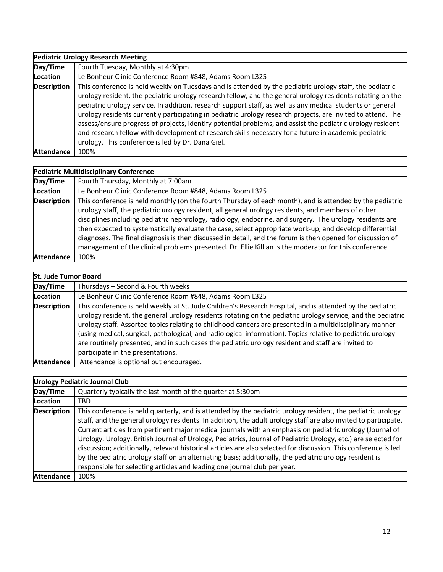|                    | <b>Pediatric Urology Research Meeting</b>                                                                                                                                                                                                                                                                                                                                                                                                                                                                                                                                                                                                                                                                                       |
|--------------------|---------------------------------------------------------------------------------------------------------------------------------------------------------------------------------------------------------------------------------------------------------------------------------------------------------------------------------------------------------------------------------------------------------------------------------------------------------------------------------------------------------------------------------------------------------------------------------------------------------------------------------------------------------------------------------------------------------------------------------|
| Day/Time           | Fourth Tuesday, Monthly at 4:30pm                                                                                                                                                                                                                                                                                                                                                                                                                                                                                                                                                                                                                                                                                               |
| <b>Location</b>    | Le Bonheur Clinic Conference Room #848, Adams Room L325                                                                                                                                                                                                                                                                                                                                                                                                                                                                                                                                                                                                                                                                         |
| <b>Description</b> | This conference is held weekly on Tuesdays and is attended by the pediatric urology staff, the pediatric<br>urology resident, the pediatric urology research fellow, and the general urology residents rotating on the<br>pediatric urology service. In addition, research support staff, as well as any medical students or general<br>urology residents currently participating in pediatric urology research projects, are invited to attend. The<br>assess/ensure progress of projects, identify potential problems, and assist the pediatric urology resident<br>and research fellow with development of research skills necessary for a future in academic pediatric<br>urology. This conference is led by Dr. Dana Giel. |
| <b>Attendance</b>  | 100%                                                                                                                                                                                                                                                                                                                                                                                                                                                                                                                                                                                                                                                                                                                            |

#### **Pediatric Multidisciplinary Conference**

| Day/Time           | Fourth Thursday, Monthly at 7:00am                                                                                                                                                                                                                                                                                                                                                                                                                                                                                                                                                                                                                            |
|--------------------|---------------------------------------------------------------------------------------------------------------------------------------------------------------------------------------------------------------------------------------------------------------------------------------------------------------------------------------------------------------------------------------------------------------------------------------------------------------------------------------------------------------------------------------------------------------------------------------------------------------------------------------------------------------|
| Location           | Le Bonheur Clinic Conference Room #848, Adams Room L325                                                                                                                                                                                                                                                                                                                                                                                                                                                                                                                                                                                                       |
| <b>Description</b> | This conference is held monthly (on the fourth Thursday of each month), and is attended by the pediatric<br>urology staff, the pediatric urology resident, all general urology residents, and members of other<br>disciplines including pediatric nephrology, radiology, endocrine, and surgery. The urology residents are<br>then expected to systematically evaluate the case, select appropriate work-up, and develop differential<br>diagnoses. The final diagnosis is then discussed in detail, and the forum is then opened for discussion of<br>management of the clinical problems presented. Dr. Ellie Killian is the moderator for this conference. |
| <b>Attendance</b>  | 100%                                                                                                                                                                                                                                                                                                                                                                                                                                                                                                                                                                                                                                                          |

| <b>St. Jude Tumor Board</b> |                                                                                                                                                                                                                                                                                                                                                                                                                                                                                                                                                                                                 |
|-----------------------------|-------------------------------------------------------------------------------------------------------------------------------------------------------------------------------------------------------------------------------------------------------------------------------------------------------------------------------------------------------------------------------------------------------------------------------------------------------------------------------------------------------------------------------------------------------------------------------------------------|
| Day/Time                    | Thursdays - Second & Fourth weeks                                                                                                                                                                                                                                                                                                                                                                                                                                                                                                                                                               |
| Location                    | Le Bonheur Clinic Conference Room #848, Adams Room L325                                                                                                                                                                                                                                                                                                                                                                                                                                                                                                                                         |
| <b>Description</b>          | This conference is held weekly at St. Jude Children's Research Hospital, and is attended by the pediatric<br>urology resident, the general urology residents rotating on the pediatric urology service, and the pediatric<br>urology staff. Assorted topics relating to childhood cancers are presented in a multidisciplinary manner<br>(using medical, surgical, pathological, and radiological information). Topics relative to pediatric urology<br>are routinely presented, and in such cases the pediatric urology resident and staff are invited to<br>participate in the presentations. |
| <b>Attendance</b>           | Attendance is optional but encouraged.                                                                                                                                                                                                                                                                                                                                                                                                                                                                                                                                                          |

#### **Urology Pediatric Journal Club Day/Time** Quarterly typically the last month of the quarter at 5:30pm **Location** TBD **Description** This conference is held quarterly, and is attended by the pediatric urology resident, the pediatric urology staff, and the general urology residents. In addition, the adult urology staff are also invited to participate. Current articles from pertinent major medical journals with an emphasis on pediatric urology (Journal of Urology, Urology, British Journal of Urology, Pediatrics, Journal of Pediatric Urology, etc.) are selected for discussion; additionally, relevant historical articles are also selected for discussion. This conference is led by the pediatric urology staff on an alternating basis; additionally, the pediatric urology resident is responsible for selecting articles and leading one journal club per year. Attendance 100%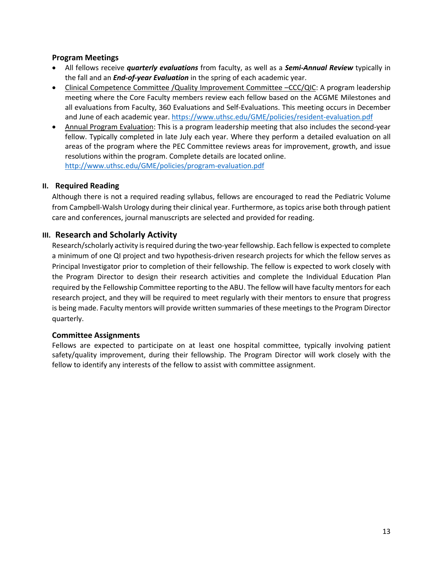#### **Program Meetings**

- All fellows receive *quarterly evaluations* from faculty, as well as a *Semi-Annual Review* typically in the fall and an *End-of-year Evaluation* in the spring of each academic year.
- Clinical Competence Committee /Quality Improvement Committee -CCC/QIC: A program leadership meeting where the Core Faculty members review each fellow based on the ACGME Milestones and all evaluations from Faculty, 360 Evaluations and Self-Evaluations. This meeting occurs in December and June of each academic year. https://www.uthsc.edu/GME/policies/resident-evaluation.pdf
- Annual Program Evaluation: This is a program leadership meeting that also includes the second-year fellow. Typically completed in late July each year. Where they perform a detailed evaluation on all areas of the program where the PEC Committee reviews areas for improvement, growth, and issue resolutions within the program. Complete details are located online. http://www.uthsc.edu/GME/policies/program-evaluation.pdf

#### **II. Required Reading**

Although there is not a required reading syllabus, fellows are encouraged to read the Pediatric Volume from Campbell-Walsh Urology during their clinical year. Furthermore, as topics arise both through patient care and conferences, journal manuscripts are selected and provided for reading.

#### **III. Research and Scholarly Activity**

Research/scholarly activity is required during the two-year fellowship. Each fellow is expected to complete a minimum of one QI project and two hypothesis-driven research projects for which the fellow serves as Principal Investigator prior to completion of their fellowship. The fellow is expected to work closely with the Program Director to design their research activities and complete the Individual Education Plan required by the Fellowship Committee reporting to the ABU. The fellow will have faculty mentors for each research project, and they will be required to meet regularly with their mentors to ensure that progress is being made. Faculty mentors will provide written summaries of these meetings to the Program Director quarterly.

#### **Committee Assignments**

Fellows are expected to participate on at least one hospital committee, typically involving patient safety/quality improvement, during their fellowship. The Program Director will work closely with the fellow to identify any interests of the fellow to assist with committee assignment.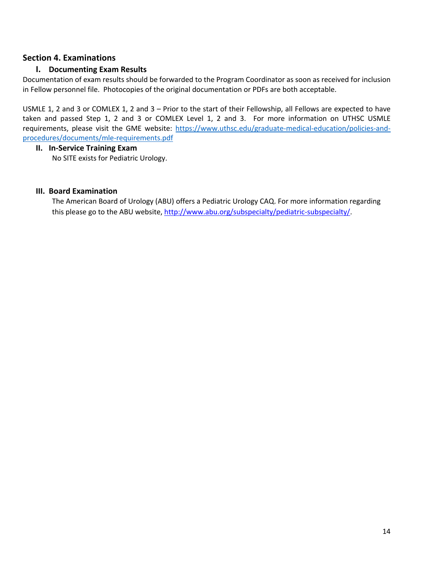#### **Section 4. Examinations**

#### **I. Documenting Exam Results**

Documentation of exam results should be forwarded to the Program Coordinator as soon as received for inclusion in Fellow personnel file. Photocopies of the original documentation or PDFs are both acceptable.

USMLE 1, 2 and 3 or COMLEX 1, 2 and 3 – Prior to the start of their Fellowship, all Fellows are expected to have taken and passed Step 1, 2 and 3 or COMLEX Level 1, 2 and 3. For more information on UTHSC USMLE requirements, please visit the GME website: https://www.uthsc.edu/graduate-medical-education/policies-andprocedures/documents/mle-requirements.pdf

#### **II. In-Service Training Exam**

No SITE exists for Pediatric Urology.

#### **III. Board Examination**

The American Board of Urology (ABU) offers a Pediatric Urology CAQ. For more information regarding this please go to the ABU website, http://www.abu.org/subspecialty/pediatric-subspecialty/.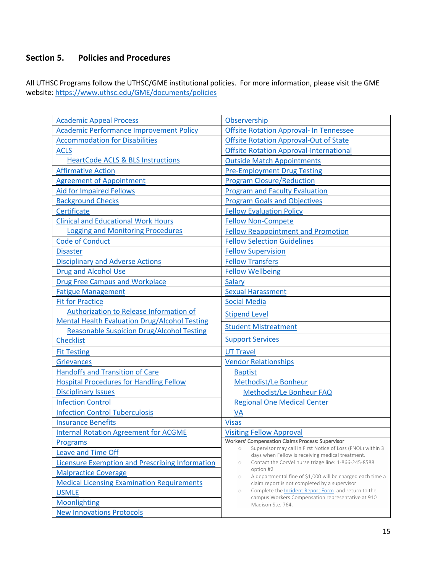## **Section 5. Policies and Procedures**

All UTHSC Programs follow the UTHSC/GME institutional policies. For more information, please visit the GME website: https://www.uthsc.edu/GME/documents/policies

| <b>Academic Appeal Process</b>                                       | Observership                                                                                                                      |
|----------------------------------------------------------------------|-----------------------------------------------------------------------------------------------------------------------------------|
| <b>Academic Performance Improvement Policy</b>                       | <b>Offsite Rotation Approval- In Tennessee</b>                                                                                    |
| <b>Accommodation for Disabilities</b>                                | <b>Offsite Rotation Approval-Out of State</b>                                                                                     |
| <b>ACLS</b>                                                          | <b>Offsite Rotation Approval-International</b>                                                                                    |
| <b>HeartCode ACLS &amp; BLS Instructions</b>                         | <b>Outside Match Appointments</b>                                                                                                 |
| <b>Affirmative Action</b>                                            | <b>Pre-Employment Drug Testing</b>                                                                                                |
| <b>Agreement of Appointment</b>                                      | <b>Program Closure/Reduction</b>                                                                                                  |
| <b>Aid for Impaired Fellows</b>                                      | <b>Program and Faculty Evaluation</b>                                                                                             |
| <b>Background Checks</b>                                             | <b>Program Goals and Objectives</b>                                                                                               |
| Certificate                                                          | <b>Fellow Evaluation Policy</b>                                                                                                   |
| <b>Clinical and Educational Work Hours</b>                           | <b>Fellow Non-Compete</b>                                                                                                         |
| <b>Logging and Monitoring Procedures</b>                             | <b>Fellow Reappointment and Promotion</b>                                                                                         |
| <b>Code of Conduct</b>                                               | <b>Fellow Selection Guidelines</b>                                                                                                |
| <b>Disaster</b>                                                      | <b>Fellow Supervision</b>                                                                                                         |
| <b>Disciplinary and Adverse Actions</b>                              | <b>Fellow Transfers</b>                                                                                                           |
| <b>Drug and Alcohol Use</b>                                          | <b>Fellow Wellbeing</b>                                                                                                           |
| <b>Drug Free Campus and Workplace</b>                                | <b>Salary</b>                                                                                                                     |
| <b>Fatigue Management</b>                                            | <b>Sexual Harassment</b>                                                                                                          |
| <b>Fit for Practice</b>                                              | <b>Social Media</b>                                                                                                               |
| Authorization to Release Information of                              | <b>Stipend Level</b>                                                                                                              |
| <b>Mental Health Evaluation Drug/Alcohol Testing</b>                 | <b>Student Mistreatment</b>                                                                                                       |
| <b>Reasonable Suspicion Drug/Alcohol Testing</b><br><b>Checklist</b> | <b>Support Services</b>                                                                                                           |
|                                                                      |                                                                                                                                   |
| <b>Fit Testing</b>                                                   | <b>UT Travel</b>                                                                                                                  |
| <b>Grievances</b>                                                    | <b>Vendor Relationships</b>                                                                                                       |
| <b>Handoffs and Transition of Care</b>                               | <b>Baptist</b>                                                                                                                    |
| <b>Hospital Procedures for Handling Fellow</b>                       | Methodist/Le Bonheur                                                                                                              |
| <b>Disciplinary Issues</b>                                           | Methodist/Le Bonheur FAQ                                                                                                          |
| <b>Infection Control</b>                                             | <b>Regional One Medical Center</b>                                                                                                |
| <b>Infection Control Tuberculosis</b>                                | <b>VA</b>                                                                                                                         |
| <b>Insurance Benefits</b>                                            | <b>Visas</b>                                                                                                                      |
| <b>Internal Rotation Agreement for ACGME</b>                         | <b>Visiting Fellow Approval</b>                                                                                                   |
| Programs                                                             | <b>Workers' Compensation Claims Process: Supervisor</b><br>Supervisor may call in First Notice of Loss (FNOL) within 3<br>$\circ$ |
| <b>Leave and Time Off</b>                                            | days when Fellow is receiving medical treatment.                                                                                  |
| <b>Licensure Exemption and Prescribing Information</b>               | Contact the CorVel nurse triage line: 1-866-245-8588<br>$\circ$<br>option #2                                                      |
| <b>Malpractice Coverage</b>                                          | A departmental fine of \$1,000 will be charged each time a<br>$\circ$                                                             |
| <b>Medical Licensing Examination Requirements</b>                    | claim report is not completed by a supervisor.<br>Complete the Incident Report Form and return to the                             |
| <b>USMLE</b>                                                         | $\circ$<br>campus Workers Compensation representative at 910                                                                      |
| Moonlighting                                                         | Madison Ste. 764.                                                                                                                 |
| <b>New Innovations Protocols</b>                                     |                                                                                                                                   |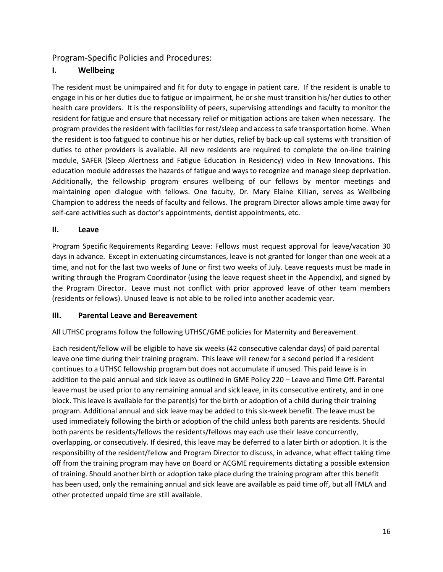Program-Specific Policies and Procedures:

#### **I. Wellbeing**

The resident must be unimpaired and fit for duty to engage in patient care. If the resident is unable to engage in his or her duties due to fatigue or impairment, he or she must transition his/her duties to other health care providers. It is the responsibility of peers, supervising attendings and faculty to monitor the resident for fatigue and ensure that necessary relief or mitigation actions are taken when necessary. The program provides the resident with facilities for rest/sleep and access to safe transportation home. When the resident is too fatigued to continue his or her duties, relief by back-up call systems with transition of duties to other providers is available. All new residents are required to complete the on-line training module, SAFER (Sleep Alertness and Fatigue Education in Residency) video in New Innovations. This education module addresses the hazards of fatigue and ways to recognize and manage sleep deprivation. Additionally, the fellowship program ensures wellbeing of our fellows by mentor meetings and maintaining open dialogue with fellows. One faculty, Dr. Mary Elaine Killian, serves as Wellbeing Champion to address the needs of faculty and fellows. The program Director allows ample time away for self-care activities such as doctor's appointments, dentist appointments, etc.

#### **II. Leave**

Program Specific Requirements Regarding Leave: Fellows must request approval for leave/vacation 30 days in advance.  Except in extenuating circumstances, leave is not granted for longer than one week at a time, and not for the last two weeks of June or first two weeks of July. Leave requests must be made in writing through the Program Coordinator (using the leave request sheet in the Appendix), and signed by the Program Director.  Leave must not conflict with prior approved leave of other team members (residents or fellows). Unused leave is not able to be rolled into another academic year.

#### **III. Parental Leave and Bereavement**

All UTHSC programs follow the following UTHSC/GME policies for Maternity and Bereavement.

Each resident/fellow will be eligible to have six weeks (42 consecutive calendar days) of paid parental leave one time during their training program. This leave will renew for a second period if a resident continues to a UTHSC fellowship program but does not accumulate if unused. This paid leave is in addition to the paid annual and sick leave as outlined in GME Policy 220 – Leave and Time Off. Parental leave must be used prior to any remaining annual and sick leave, in its consecutive entirety, and in one block. This leave is available for the parent(s) for the birth or adoption of a child during their training program. Additional annual and sick leave may be added to this six-week benefit. The leave must be used immediately following the birth or adoption of the child unless both parents are residents. Should both parents be residents/fellows the residents/fellows may each use their leave concurrently, overlapping, or consecutively. If desired, this leave may be deferred to a later birth or adoption. It is the responsibility of the resident/fellow and Program Director to discuss, in advance, what effect taking time off from the training program may have on Board or ACGME requirements dictating a possible extension of training. Should another birth or adoption take place during the training program after this benefit has been used, only the remaining annual and sick leave are available as paid time off, but all FMLA and other protected unpaid time are still available.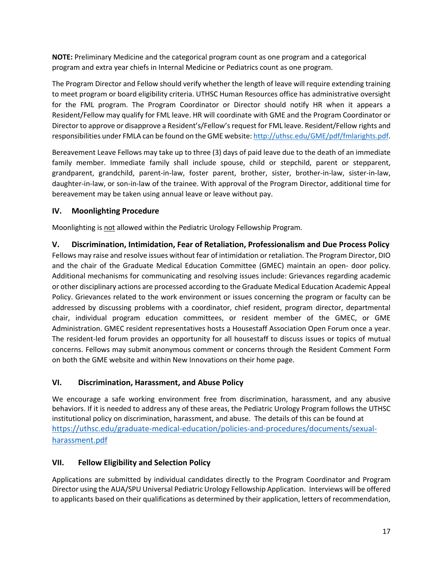**NOTE:** Preliminary Medicine and the categorical program count as one program and a categorical program and extra year chiefs in Internal Medicine or Pediatrics count as one program.

The Program Director and Fellow should verify whether the length of leave will require extending training to meet program or board eligibility criteria. UTHSC Human Resources office has administrative oversight for the FML program. The Program Coordinator or Director should notify HR when it appears a Resident/Fellow may qualify for FML leave. HR will coordinate with GME and the Program Coordinator or Director to approve or disapprove a Resident's/Fellow's request for FML leave. Resident/Fellow rights and responsibilities under FMLA can be found on the GME website: http://uthsc.edu/GME/pdf/fmlarights.pdf.

Bereavement Leave Fellows may take up to three (3) days of paid leave due to the death of an immediate family member. Immediate family shall include spouse, child or stepchild, parent or stepparent, grandparent, grandchild, parent-in-law, foster parent, brother, sister, brother-in-law, sister-in-law, daughter-in-law, or son-in-law of the trainee. With approval of the Program Director, additional time for bereavement may be taken using annual leave or leave without pay.

#### **IV. Moonlighting Procedure**

Moonlighting is not allowed within the Pediatric Urology Fellowship Program.

**V. Discrimination, Intimidation, Fear of Retaliation, Professionalism and Due Process Policy** Fellows may raise and resolve issues without fear of intimidation or retaliation. The Program Director, DIO and the chair of the Graduate Medical Education Committee (GMEC) maintain an open- door policy. Additional mechanisms for communicating and resolving issues include: Grievances regarding academic or other disciplinary actions are processed according to the Graduate Medical Education Academic Appeal Policy. Grievances related to the work environment or issues concerning the program or faculty can be addressed by discussing problems with a coordinator, chief resident, program director, departmental chair, individual program education committees, or resident member of the GMEC, or GME Administration. GMEC resident representatives hosts a Housestaff Association Open Forum once a year. The resident-led forum provides an opportunity for all housestaff to discuss issues or topics of mutual concerns. Fellows may submit anonymous comment or concerns through the Resident Comment Form on both the GME website and within New Innovations on their home page.

#### **VI. Discrimination, Harassment, and Abuse Policy**

We encourage a safe working environment free from discrimination, harassment, and any abusive behaviors. If it is needed to address any of these areas, the Pediatric Urology Program follows the UTHSC institutional policy on discrimination, harassment, and abuse. The details of this can be found at https://uthsc.edu/graduate-medical-education/policies-and-procedures/documents/sexualharassment.pdf

#### **VII. Fellow Eligibility and Selection Policy**

Applications are submitted by individual candidates directly to the Program Coordinator and Program Director using the AUA/SPU Universal Pediatric Urology Fellowship Application. Interviews will be offered to applicants based on their qualifications as determined by their application, letters of recommendation,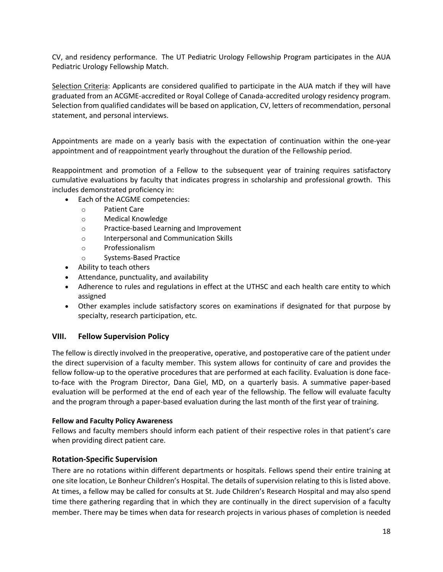CV, and residency performance. The UT Pediatric Urology Fellowship Program participates in the AUA Pediatric Urology Fellowship Match.

Selection Criteria: Applicants are considered qualified to participate in the AUA match if they will have graduated from an ACGME-accredited or Royal College of Canada-accredited urology residency program. Selection from qualified candidates will be based on application, CV, letters of recommendation, personal statement, and personal interviews.

Appointments are made on a yearly basis with the expectation of continuation within the one-year appointment and of reappointment yearly throughout the duration of the Fellowship period.

Reappointment and promotion of a Fellow to the subsequent year of training requires satisfactory cumulative evaluations by faculty that indicates progress in scholarship and professional growth. This includes demonstrated proficiency in:

- Each of the ACGME competencies:
	- o Patient Care
	- o Medical Knowledge
	- o Practice-based Learning and Improvement
	- o Interpersonal and Communication Skills
	- o Professionalism
	- o Systems-Based Practice
- Ability to teach others
- Attendance, punctuality, and availability
- Adherence to rules and regulations in effect at the UTHSC and each health care entity to which assigned
- Other examples include satisfactory scores on examinations if designated for that purpose by specialty, research participation, etc.

#### **VIII. Fellow Supervision Policy**

The fellow is directly involved in the preoperative, operative, and postoperative care of the patient under the direct supervision of a faculty member. This system allows for continuity of care and provides the fellow follow-up to the operative procedures that are performed at each facility. Evaluation is done faceto-face with the Program Director, Dana Giel, MD, on a quarterly basis. A summative paper-based evaluation will be performed at the end of each year of the fellowship. The fellow will evaluate faculty and the program through a paper-based evaluation during the last month of the first year of training.

#### **Fellow and Faculty Policy Awareness**

Fellows and faculty members should inform each patient of their respective roles in that patient's care when providing direct patient care.

#### **Rotation-Specific Supervision**

There are no rotations within different departments or hospitals. Fellows spend their entire training at one site location, Le Bonheur Children's Hospital. The details of supervision relating to this is listed above. At times, a fellow may be called for consults at St. Jude Children's Research Hospital and may also spend time there gathering regarding that in which they are continually in the direct supervision of a faculty member. There may be times when data for research projects in various phases of completion is needed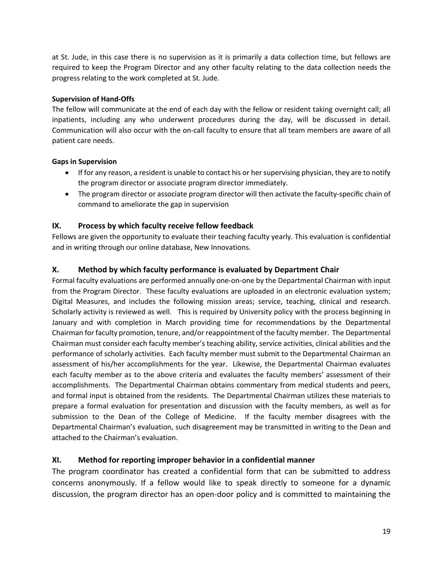at St. Jude, in this case there is no supervision as it is primarily a data collection time, but fellows are required to keep the Program Director and any other faculty relating to the data collection needs the progress relating to the work completed at St. Jude.

#### **Supervision of Hand-Offs**

The fellow will communicate at the end of each day with the fellow or resident taking overnight call; all inpatients, including any who underwent procedures during the day, will be discussed in detail. Communication will also occur with the on-call faculty to ensure that all team members are aware of all patient care needs.

#### **Gaps in Supervision**

- If for any reason, a resident is unable to contact his or her supervising physician, they are to notify the program director or associate program director immediately.
- The program director or associate program director will then activate the faculty-specific chain of command to ameliorate the gap in supervision

#### **IX. Process by which faculty receive fellow feedback**

Fellows are given the opportunity to evaluate their teaching faculty yearly. This evaluation is confidential and in writing through our online database, New Innovations.

#### **X. Method by which faculty performance is evaluated by Department Chair**

Formal faculty evaluations are performed annually one-on-one by the Departmental Chairman with input from the Program Director. These faculty evaluations are uploaded in an electronic evaluation system; Digital Measures, and includes the following mission areas; service, teaching, clinical and research. Scholarly activity is reviewed as well. This is required by University policy with the process beginning in January and with completion in March providing time for recommendations by the Departmental Chairman for faculty promotion, tenure, and/or reappointment of the faculty member. The Departmental Chairman must consider each faculty member's teaching ability, service activities, clinical abilities and the performance of scholarly activities. Each faculty member must submit to the Departmental Chairman an assessment of his/her accomplishments for the year. Likewise, the Departmental Chairman evaluates each faculty member as to the above criteria and evaluates the faculty members' assessment of their accomplishments. The Departmental Chairman obtains commentary from medical students and peers, and formal input is obtained from the residents. The Departmental Chairman utilizes these materials to prepare a formal evaluation for presentation and discussion with the faculty members, as well as for submission to the Dean of the College of Medicine. If the faculty member disagrees with the Departmental Chairman's evaluation, such disagreement may be transmitted in writing to the Dean and attached to the Chairman's evaluation.

#### **XI. Method for reporting improper behavior in a confidential manner**

The program coordinator has created a confidential form that can be submitted to address concerns anonymously. If a fellow would like to speak directly to someone for a dynamic discussion, the program director has an open-door policy and is committed to maintaining the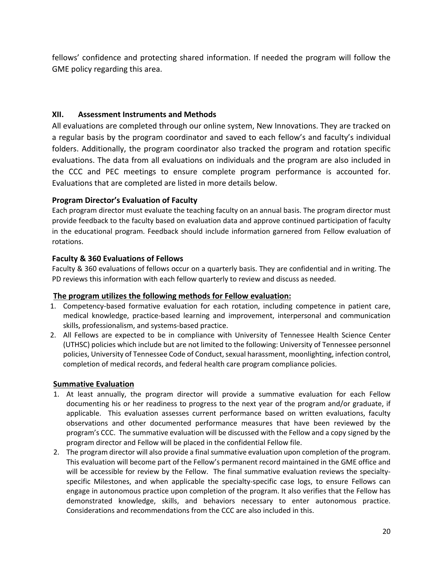fellows' confidence and protecting shared information. If needed the program will follow the GME policy regarding this area.

#### **XII. Assessment Instruments and Methods**

All evaluations are completed through our online system, New Innovations. They are tracked on a regular basis by the program coordinator and saved to each fellow's and faculty's individual folders. Additionally, the program coordinator also tracked the program and rotation specific evaluations. The data from all evaluations on individuals and the program are also included in the CCC and PEC meetings to ensure complete program performance is accounted for. Evaluations that are completed are listed in more details below.

#### **Program Director's Evaluation of Faculty**

Each program director must evaluate the teaching faculty on an annual basis. The program director must provide feedback to the faculty based on evaluation data and approve continued participation of faculty in the educational program. Feedback should include information garnered from Fellow evaluation of rotations.

#### **Faculty & 360 Evaluations of Fellows**

Faculty & 360 evaluations of fellows occur on a quarterly basis. They are confidential and in writing. The PD reviews this information with each fellow quarterly to review and discuss as needed.

#### **The program utilizes the following methods for Fellow evaluation:**

- 1. Competency-based formative evaluation for each rotation, including competence in patient care, medical knowledge, practice-based learning and improvement, interpersonal and communication skills, professionalism, and systems-based practice.
- 2. All Fellows are expected to be in compliance with University of Tennessee Health Science Center (UTHSC) policies which include but are not limited to the following: University of Tennessee personnel policies, University of Tennessee Code of Conduct, sexual harassment, moonlighting, infection control, completion of medical records, and federal health care program compliance policies.

#### **Summative Evaluation**

- 1. At least annually, the program director will provide a summative evaluation for each Fellow documenting his or her readiness to progress to the next year of the program and/or graduate, if applicable. This evaluation assesses current performance based on written evaluations, faculty observations and other documented performance measures that have been reviewed by the program's CCC. The summative evaluation will be discussed with the Fellow and a copy signed by the program director and Fellow will be placed in the confidential Fellow file.
- 2. The program director will also provide a final summative evaluation upon completion of the program. This evaluation will become part of the Fellow's permanent record maintained in the GME office and will be accessible for review by the Fellow. The final summative evaluation reviews the specialtyspecific Milestones, and when applicable the specialty-specific case logs, to ensure Fellows can engage in autonomous practice upon completion of the program. It also verifies that the Fellow has demonstrated knowledge, skills, and behaviors necessary to enter autonomous practice. Considerations and recommendations from the CCC are also included in this.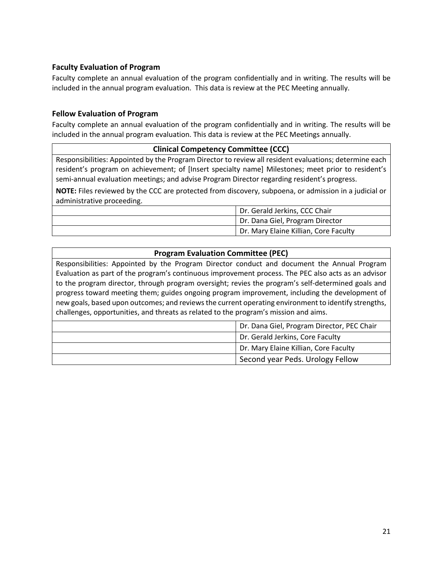#### **Faculty Evaluation of Program**

Faculty complete an annual evaluation of the program confidentially and in writing. The results will be included in the annual program evaluation. This data is review at the PEC Meeting annually.

#### **Fellow Evaluation of Program**

Faculty complete an annual evaluation of the program confidentially and in writing. The results will be included in the annual program evaluation. This data is review at the PEC Meetings annually.

#### **Clinical Competency Committee (CCC)**

Responsibilities: Appointed by the Program Director to review all resident evaluations; determine each resident's program on achievement; of [Insert specialty name] Milestones; meet prior to resident's semi-annual evaluation meetings; and advise Program Director regarding resident's progress.

**NOTE:** Files reviewed by the CCC are protected from discovery, subpoena, or admission in a judicial or administrative proceeding.

| Dr. Gerald Jerkins, CCC Chair         |
|---------------------------------------|
| Dr. Dana Giel, Program Director       |
| Dr. Mary Elaine Killian, Core Faculty |

#### **Program Evaluation Committee (PEC)**

Responsibilities: Appointed by the Program Director conduct and document the Annual Program Evaluation as part of the program's continuous improvement process. The PEC also acts as an advisor to the program director, through program oversight; revies the program's self-determined goals and progress toward meeting them; guides ongoing program improvement, including the development of new goals, based upon outcomes; and reviews the current operating environment to identify strengths, challenges, opportunities, and threats as related to the program's mission and aims.

| Dr. Dana Giel, Program Director, PEC Chair |
|--------------------------------------------|
| Dr. Gerald Jerkins, Core Faculty           |
| Dr. Mary Elaine Killian, Core Faculty      |
| Second year Peds. Urology Fellow           |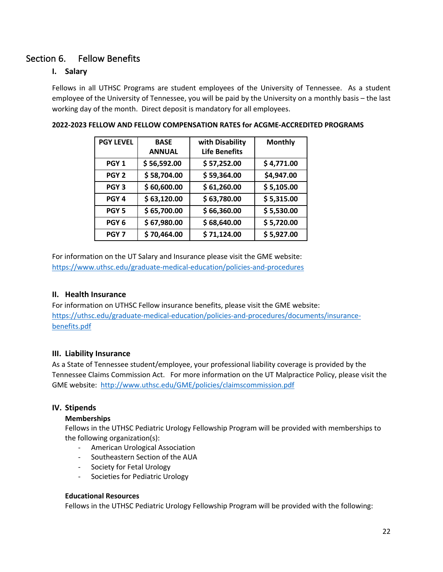## Section 6. Fellow Benefits

#### **I. Salary**

Fellows in all UTHSC Programs are student employees of the University of Tennessee. As a student employee of the University of Tennessee, you will be paid by the University on a monthly basis – the last working day of the month. Direct deposit is mandatory for all employees.

| <b>PGY LEVEL</b> | <b>BASE</b>   | with Disability      | <b>Monthly</b> |  |  |
|------------------|---------------|----------------------|----------------|--|--|
|                  | <b>ANNUAL</b> | <b>Life Benefits</b> |                |  |  |
| PGY <sub>1</sub> | \$56,592.00   | \$57,252.00          | \$4,771.00     |  |  |
| PGY <sub>2</sub> | \$58,704.00   | \$59,364.00          | \$4,947.00     |  |  |
| PGY <sub>3</sub> | \$60,600.00   | \$61,260.00          | \$5,105.00     |  |  |
| PGY <sub>4</sub> | \$63,120.00   | \$63,780.00          | \$5,315.00     |  |  |
| PGY <sub>5</sub> | \$65,700.00   | \$66,360.00          | \$5,530.00     |  |  |
| PGY <sub>6</sub> | \$67,980.00   | \$68,640.00          | \$5,720.00     |  |  |
| PGY <sub>7</sub> | \$70,464.00   | \$71,124.00          | \$5,927.00     |  |  |

#### **2022-2023 FELLOW AND FELLOW COMPENSATION RATES for ACGME-ACCREDITED PROGRAMS**

For information on the UT Salary and Insurance please visit the GME website: https://www.uthsc.edu/graduate-medical-education/policies-and-procedures

#### **II. Health Insurance**

For information on UTHSC Fellow insurance benefits, please visit the GME website: https://uthsc.edu/graduate-medical-education/policies-and-procedures/documents/insurancebenefits.pdf

#### **III. Liability Insurance**

As a State of Tennessee student/employee, your professional liability coverage is provided by the Tennessee Claims Commission Act. For more information on the UT Malpractice Policy, please visit the GME website: http://www.uthsc.edu/GME/policies/claimscommission.pdf

#### **IV. Stipends**

#### **Memberships**

Fellows in the UTHSC Pediatric Urology Fellowship Program will be provided with memberships to the following organization(s):

- American Urological Association
- Southeastern Section of the AUA
- Society for Fetal Urology
- Societies for Pediatric Urology

#### **Educational Resources**

Fellows in the UTHSC Pediatric Urology Fellowship Program will be provided with the following: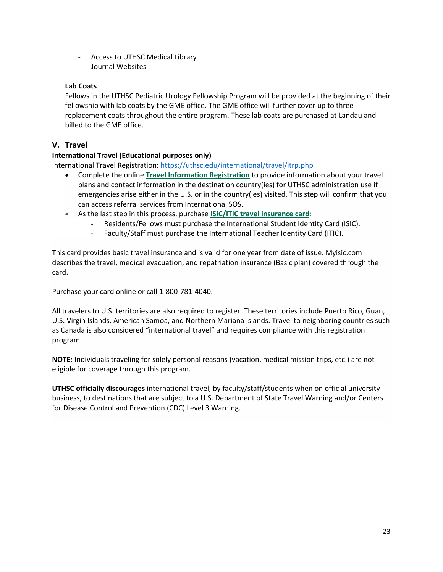- Access to UTHSC Medical Library
- Journal Websites

#### **Lab Coats**

Fellows in the UTHSC Pediatric Urology Fellowship Program will be provided at the beginning of their fellowship with lab coats by the GME office. The GME office will further cover up to three replacement coats throughout the entire program. These lab coats are purchased at Landau and billed to the GME office.

#### **V. Travel**

#### **International Travel (Educational purposes only)**

International Travel Registration: https://uthsc.edu/international/travel/itrp.php

- Complete the online **Travel Information Registration** to provide information about your travel plans and contact information in the destination country(ies) for UTHSC administration use if emergencies arise either in the U.S. or in the country(ies) visited. This step will confirm that you can access referral services from International SOS.
- As the last step in this process, purchase **ISIC/ITIC travel insurance card**:
	- Residents/Fellows must purchase the International Student Identity Card (ISIC).
	- Faculty/Staff must purchase the International Teacher Identity Card (ITIC).

This card provides basic travel insurance and is valid for one year from date of issue. Myisic.com describes the travel, medical evacuation, and repatriation insurance (Basic plan) covered through the card.

Purchase your card online or call 1-800-781-4040.

All travelers to U.S. territories are also required to register. These territories include Puerto Rico, Guan, U.S. Virgin Islands. American Samoa, and Northern Mariana Islands. Travel to neighboring countries such as Canada is also considered "international travel" and requires compliance with this registration program.

**NOTE:** Individuals traveling for solely personal reasons (vacation, medical mission trips, etc.) are not eligible for coverage through this program.

**UTHSC officially discourages** international travel, by faculty/staff/students when on official university business, to destinations that are subject to a U.S. Department of State Travel Warning and/or Centers for Disease Control and Prevention (CDC) Level 3 Warning.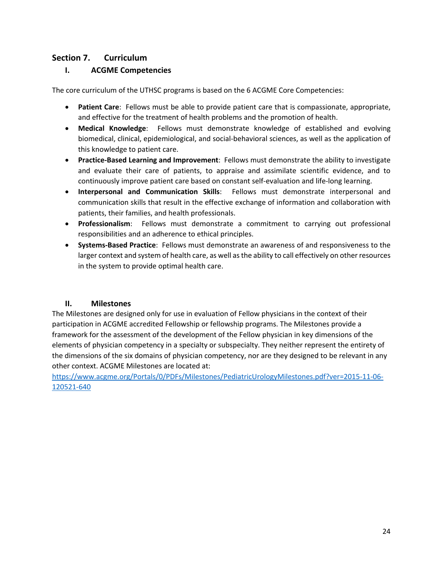#### **Section 7. Curriculum**

#### **I. ACGME Competencies**

The core curriculum of the UTHSC programs is based on the 6 ACGME Core Competencies:

- **Patient Care**: Fellows must be able to provide patient care that is compassionate, appropriate, and effective for the treatment of health problems and the promotion of health.
- **Medical Knowledge**: Fellows must demonstrate knowledge of established and evolving biomedical, clinical, epidemiological, and social-behavioral sciences, as well as the application of this knowledge to patient care.
- **Practice-Based Learning and Improvement**: Fellows must demonstrate the ability to investigate and evaluate their care of patients, to appraise and assimilate scientific evidence, and to continuously improve patient care based on constant self-evaluation and life-long learning.
- **Interpersonal and Communication Skills**: Fellows must demonstrate interpersonal and communication skills that result in the effective exchange of information and collaboration with patients, their families, and health professionals.
- **Professionalism**: Fellows must demonstrate a commitment to carrying out professional responsibilities and an adherence to ethical principles.
- **Systems-Based Practice**: Fellows must demonstrate an awareness of and responsiveness to the larger context and system of health care, as well as the ability to call effectively on other resources in the system to provide optimal health care.

#### **II. Milestones**

The Milestones are designed only for use in evaluation of Fellow physicians in the context of their participation in ACGME accredited Fellowship or fellowship programs. The Milestones provide a framework for the assessment of the development of the Fellow physician in key dimensions of the elements of physician competency in a specialty or subspecialty. They neither represent the entirety of the dimensions of the six domains of physician competency, nor are they designed to be relevant in any other context. ACGME Milestones are located at:

https://www.acgme.org/Portals/0/PDFs/Milestones/PediatricUrologyMilestones.pdf?ver=2015-11-06- 120521-640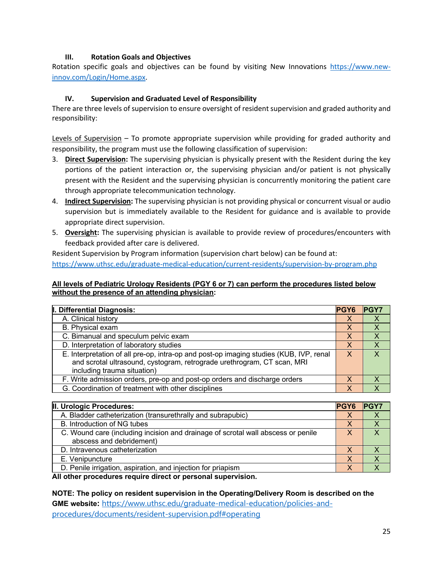#### **III. Rotation Goals and Objectives**

Rotation specific goals and objectives can be found by visiting New Innovations https://www.newinnov.com/Login/Home.aspx.

#### **IV. Supervision and Graduated Level of Responsibility**

There are three levels of supervision to ensure oversight of resident supervision and graded authority and responsibility:

Levels of Supervision – To promote appropriate supervision while providing for graded authority and responsibility, the program must use the following classification of supervision:

- 3. **Direct Supervision:** The supervising physician is physically present with the Resident during the key portions of the patient interaction or, the supervising physician and/or patient is not physically present with the Resident and the supervising physician is concurrently monitoring the patient care through appropriate telecommunication technology.
- 4. **Indirect Supervision:** The supervising physician is not providing physical or concurrent visual or audio supervision but is immediately available to the Resident for guidance and is available to provide appropriate direct supervision.
- 5. **Oversight:** The supervising physician is available to provide review of procedures/encounters with feedback provided after care is delivered.

Resident Supervision by Program information (supervision chart below) can be found at: https://www.uthsc.edu/graduate-medical-education/current-residents/supervision-by-program.php

#### **All levels of Pediatric Urology Residents (PGY 6 or 7) can perform the procedures listed below without the presence of an attending physician:**

| I. Differential Diagnosis:                                                                                                                                                                       | <b>PGY6</b> | <b>IPGY7</b> |
|--------------------------------------------------------------------------------------------------------------------------------------------------------------------------------------------------|-------------|--------------|
| A. Clinical history                                                                                                                                                                              | X           |              |
| B. Physical exam                                                                                                                                                                                 | X           |              |
| C. Bimanual and speculum pelvic exam                                                                                                                                                             | X           |              |
| D. Interpretation of laboratory studies                                                                                                                                                          |             | X            |
| E. Interpretation of all pre-op, intra-op and post-op imaging studies (KUB, IVP, renal<br>and scrotal ultrasound, cystogram, retrograde urethrogram, CT scan, MRI<br>including trauma situation) | X           | X.           |
| F. Write admission orders, pre-op and post-op orders and discharge orders                                                                                                                        |             |              |
| G. Coordination of treatment with other disciplines                                                                                                                                              | Χ           |              |

| II. Urologic Procedures:                                                                                     | <b>PGY6</b> | <b>PGY7</b> |
|--------------------------------------------------------------------------------------------------------------|-------------|-------------|
| A. Bladder catheterization (transurethrally and subrapubic)                                                  |             |             |
| B. Introduction of NG tubes                                                                                  |             |             |
| C. Wound care (including incision and drainage of scrotal wall abscess or penile<br>abscess and debridement) | x           |             |
| D. Intravenous catheterization                                                                               |             |             |
| E. Venipuncture                                                                                              |             |             |
| D. Penile irrigation, aspiration, and injection for priapism                                                 |             |             |

**All other procedures require direct or personal supervision.**

**NOTE: The policy on resident supervision in the Operating/Delivery Room is described on the GME website:** https://www.uthsc.edu/graduate-medical-education/policies-andprocedures/documents/resident-supervision.pdf#operating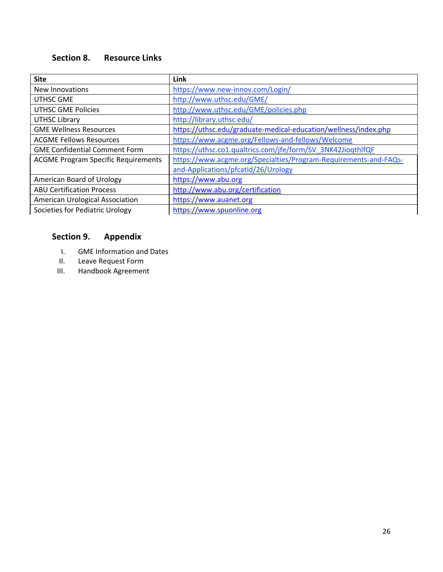# **Section 8. Resource Links**

| <b>Site</b>                                | Link                                                             |
|--------------------------------------------|------------------------------------------------------------------|
| New Innovations                            | https://www.new-innov.com/Login/                                 |
| UTHSC GME                                  | http://www.uthsc.edu/GME/                                        |
| <b>UTHSC GME Policies</b>                  | http://www.uthsc.edu/GME/policies.php                            |
| <b>UTHSC Library</b>                       | http://library.uthsc.edu/                                        |
| <b>GME Wellness Resources</b>              | https://uthsc.edu/graduate-medical-education/wellness/index.php  |
| <b>ACGME Fellows Resources</b>             | https://www.acgme.org/Fellows-and-fellows/Welcome                |
| <b>GME Confidential Comment Form</b>       | https://uthsc.co1.qualtrics.com/jfe/form/SV_3NK42JioqthlfQF      |
| <b>ACGME Program Specific Requirements</b> | https://www.acgme.org/Specialties/Program-Requirements-and-FAQs- |
|                                            | and-Applications/pfcatid/26/Urology                              |
| American Board of Urology                  | https://www.abu.org                                              |
| <b>ABU Certification Process</b>           | http://www.abu.org/certification                                 |
| <b>American Urological Association</b>     | https://www.auanet.org                                           |
| Societies for Pediatric Urology            | https://www.spuonline.org                                        |

# **Section 9. Appendix**

- I. GME Information and Dates
- II. Leave Request Form<br>III. Handbook Agreemen
- Handbook Agreement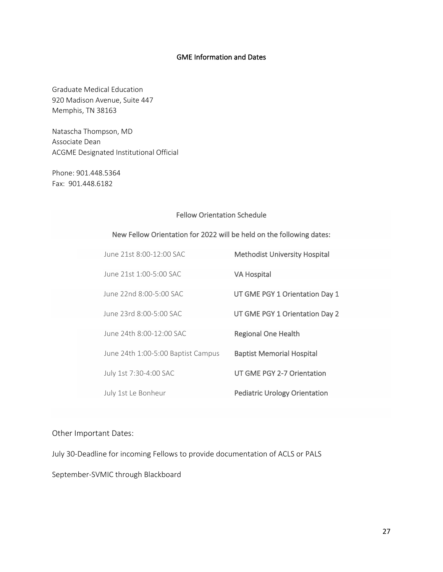#### GME Information and Dates

Graduate Medical Education 920 Madison Avenue, Suite 447 Memphis, TN 38163

Natascha Thompson, MD Associate Dean ACGME Designated Institutional Official

Phone: 901.448.5364 Fax: 901.448.6182

#### Fellow Orientation Schedule

| New Fellow Orientation for 2022 will be held on the following dates: |  |  |  |
|----------------------------------------------------------------------|--|--|--|
|----------------------------------------------------------------------|--|--|--|

| June 21st 8:00-12:00 SAC           | <b>Methodist University Hospital</b> |
|------------------------------------|--------------------------------------|
| June 21st 1:00-5:00 SAC            | <b>VA Hospital</b>                   |
| June 22nd 8:00-5:00 SAC            | UT GME PGY 1 Orientation Day 1       |
| June 23rd 8:00-5:00 SAC            | UT GME PGY 1 Orientation Day 2       |
|                                    |                                      |
| June 24th 8:00-12:00 SAC           | <b>Regional One Health</b>           |
| June 24th 1:00-5:00 Baptist Campus | <b>Baptist Memorial Hospital</b>     |
| July 1st 7:30-4:00 SAC             | UT GME PGY 2-7 Orientation           |
| July 1st Le Bonheur                | <b>Pediatric Urology Orientation</b> |

Other Important Dates:

July 30-Deadline for incoming Fellows to provide documentation of ACLS or PALS

September-SVMIC through Blackboard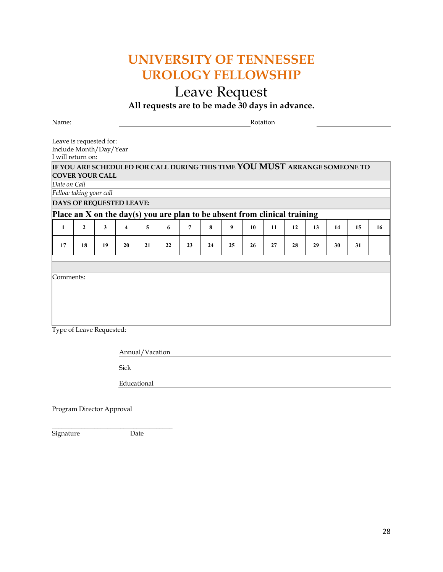# **UNIVERSITY OF TENNESSEE UROLOGY FELLOWSHIP**

# Leave Request

**All requests are to be made 30 days in advance.**

Name: Rotation

Leave is requested for: Include Month/Day/Year I will return on:

|                                 | IF YOU ARE SCHEDULED FOR CALL DURING THIS TIME YOU MUST ARRANGE SOMEONE TO |    |    |    |    |    |    |    |    |    |    |    |    |    |    |
|---------------------------------|----------------------------------------------------------------------------|----|----|----|----|----|----|----|----|----|----|----|----|----|----|
| <b>COVER YOUR CALL</b>          |                                                                            |    |    |    |    |    |    |    |    |    |    |    |    |    |    |
| Date on Call                    |                                                                            |    |    |    |    |    |    |    |    |    |    |    |    |    |    |
| Fellow taking your call         |                                                                            |    |    |    |    |    |    |    |    |    |    |    |    |    |    |
| <b>DAYS OF REQUESTED LEAVE:</b> |                                                                            |    |    |    |    |    |    |    |    |    |    |    |    |    |    |
|                                 | Place an X on the day(s) you are plan to be absent from clinical training  |    |    |    |    |    |    |    |    |    |    |    |    |    |    |
| 1                               | $\mathbf{2}$                                                               | 3  | 4  | 5  | 6  | 7  | 8  | 9  | 10 | 11 | 12 | 13 | 14 | 15 | 16 |
| 17                              | 18                                                                         | 19 | 20 | 21 | 22 | 23 | 24 | 25 | 26 | 27 | 28 | 29 | 30 | 31 |    |
|                                 |                                                                            |    |    |    |    |    |    |    |    |    |    |    |    |    |    |
|                                 |                                                                            |    |    |    |    |    |    |    |    |    |    |    |    |    |    |
| Comments:                       |                                                                            |    |    |    |    |    |    |    |    |    |    |    |    |    |    |
|                                 |                                                                            |    |    |    |    |    |    |    |    |    |    |    |    |    |    |
|                                 |                                                                            |    |    |    |    |    |    |    |    |    |    |    |    |    |    |
|                                 |                                                                            |    |    |    |    |    |    |    |    |    |    |    |    |    |    |

Type of Leave Requested:

Annual/Vacation

Sick

Educational

Program Director Approval

 $\frac{1}{2}$  , and the set of the set of the set of the set of the set of the set of the set of the set of the set of the set of the set of the set of the set of the set of the set of the set of the set of the set of the set Signature Date